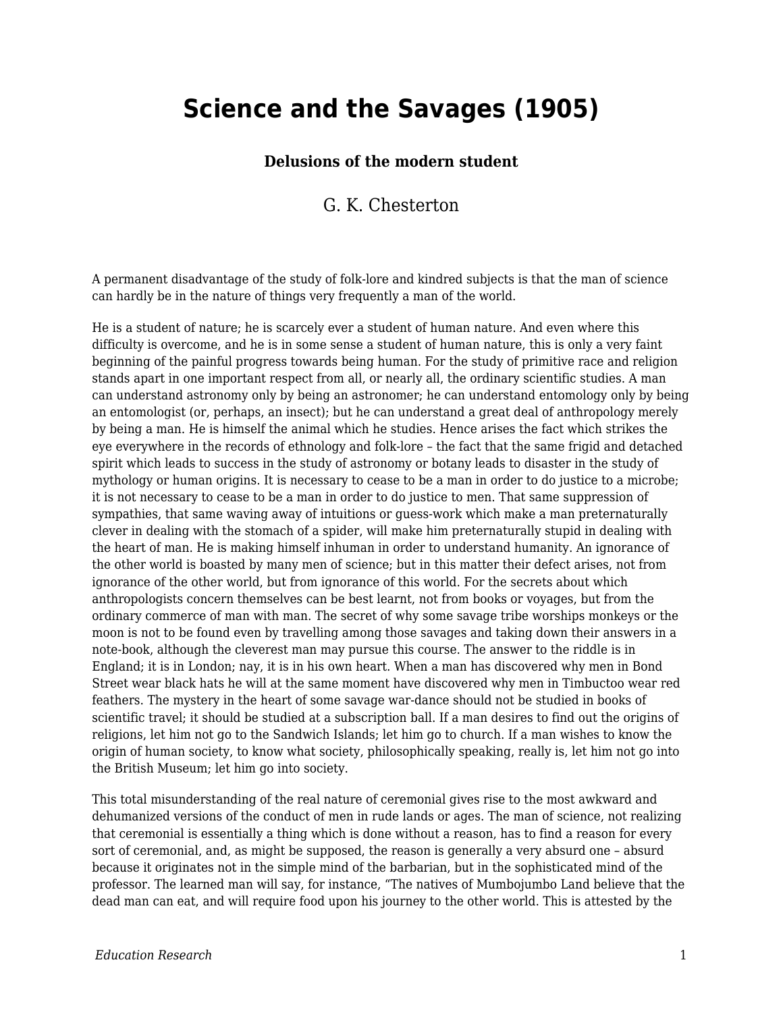## **Science and the Savages (1905)**

## **Delusions of the modern student**

## G. K. Chesterton

A permanent disadvantage of the study of folk-lore and kindred subjects is that the man of science can hardly be in the nature of things very frequently a man of the world.

He is a student of nature; he is scarcely ever a student of human nature. And even where this difficulty is overcome, and he is in some sense a student of human nature, this is only a very faint beginning of the painful progress towards being human. For the study of primitive race and religion stands apart in one important respect from all, or nearly all, the ordinary scientific studies. A man can understand astronomy only by being an astronomer; he can understand entomology only by being an entomologist (or, perhaps, an insect); but he can understand a great deal of anthropology merely by being a man. He is himself the animal which he studies. Hence arises the fact which strikes the eye everywhere in the records of ethnology and folk-lore – the fact that the same frigid and detached spirit which leads to success in the study of astronomy or botany leads to disaster in the study of mythology or human origins. It is necessary to cease to be a man in order to do justice to a microbe; it is not necessary to cease to be a man in order to do justice to men. That same suppression of sympathies, that same waving away of intuitions or guess-work which make a man preternaturally clever in dealing with the stomach of a spider, will make him preternaturally stupid in dealing with the heart of man. He is making himself inhuman in order to understand humanity. An ignorance of the other world is boasted by many men of science; but in this matter their defect arises, not from ignorance of the other world, but from ignorance of this world. For the secrets about which anthropologists concern themselves can be best learnt, not from books or voyages, but from the ordinary commerce of man with man. The secret of why some savage tribe worships monkeys or the moon is not to be found even by travelling among those savages and taking down their answers in a note-book, although the cleverest man may pursue this course. The answer to the riddle is in England; it is in London; nay, it is in his own heart. When a man has discovered why men in Bond Street wear black hats he will at the same moment have discovered why men in Timbuctoo wear red feathers. The mystery in the heart of some savage war-dance should not be studied in books of scientific travel; it should be studied at a subscription ball. If a man desires to find out the origins of religions, let him not go to the Sandwich Islands; let him go to church. If a man wishes to know the origin of human society, to know what society, philosophically speaking, really is, let him not go into the British Museum; let him go into society.

This total misunderstanding of the real nature of ceremonial gives rise to the most awkward and dehumanized versions of the conduct of men in rude lands or ages. The man of science, not realizing that ceremonial is essentially a thing which is done without a reason, has to find a reason for every sort of ceremonial, and, as might be supposed, the reason is generally a very absurd one – absurd because it originates not in the simple mind of the barbarian, but in the sophisticated mind of the professor. The learned man will say, for instance, "The natives of Mumbojumbo Land believe that the dead man can eat, and will require food upon his journey to the other world. This is attested by the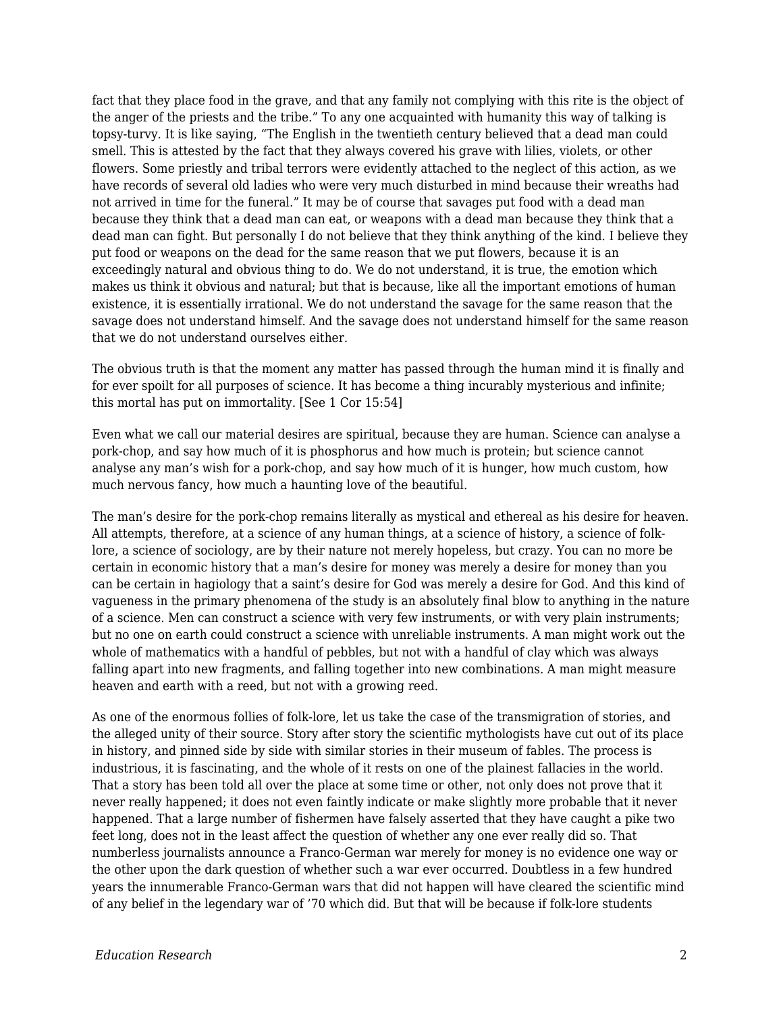fact that they place food in the grave, and that any family not complying with this rite is the object of the anger of the priests and the tribe." To any one acquainted with humanity this way of talking is topsy-turvy. It is like saying, "The English in the twentieth century believed that a dead man could smell. This is attested by the fact that they always covered his grave with lilies, violets, or other flowers. Some priestly and tribal terrors were evidently attached to the neglect of this action, as we have records of several old ladies who were very much disturbed in mind because their wreaths had not arrived in time for the funeral." It may be of course that savages put food with a dead man because they think that a dead man can eat, or weapons with a dead man because they think that a dead man can fight. But personally I do not believe that they think anything of the kind. I believe they put food or weapons on the dead for the same reason that we put flowers, because it is an exceedingly natural and obvious thing to do. We do not understand, it is true, the emotion which makes us think it obvious and natural; but that is because, like all the important emotions of human existence, it is essentially irrational. We do not understand the savage for the same reason that the savage does not understand himself. And the savage does not understand himself for the same reason that we do not understand ourselves either.

The obvious truth is that the moment any matter has passed through the human mind it is finally and for ever spoilt for all purposes of science. It has become a thing incurably mysterious and infinite; this mortal has put on immortality. [See 1 Cor 15:54]

Even what we call our material desires are spiritual, because they are human. Science can analyse a pork-chop, and say how much of it is phosphorus and how much is protein; but science cannot analyse any man's wish for a pork-chop, and say how much of it is hunger, how much custom, how much nervous fancy, how much a haunting love of the beautiful.

The man's desire for the pork-chop remains literally as mystical and ethereal as his desire for heaven. All attempts, therefore, at a science of any human things, at a science of history, a science of folklore, a science of sociology, are by their nature not merely hopeless, but crazy. You can no more be certain in economic history that a man's desire for money was merely a desire for money than you can be certain in hagiology that a saint's desire for God was merely a desire for God. And this kind of vagueness in the primary phenomena of the study is an absolutely final blow to anything in the nature of a science. Men can construct a science with very few instruments, or with very plain instruments; but no one on earth could construct a science with unreliable instruments. A man might work out the whole of mathematics with a handful of pebbles, but not with a handful of clay which was always falling apart into new fragments, and falling together into new combinations. A man might measure heaven and earth with a reed, but not with a growing reed.

As one of the enormous follies of folk-lore, let us take the case of the transmigration of stories, and the alleged unity of their source. Story after story the scientific mythologists have cut out of its place in history, and pinned side by side with similar stories in their museum of fables. The process is industrious, it is fascinating, and the whole of it rests on one of the plainest fallacies in the world. That a story has been told all over the place at some time or other, not only does not prove that it never really happened; it does not even faintly indicate or make slightly more probable that it never happened. That a large number of fishermen have falsely asserted that they have caught a pike two feet long, does not in the least affect the question of whether any one ever really did so. That numberless journalists announce a Franco-German war merely for money is no evidence one way or the other upon the dark question of whether such a war ever occurred. Doubtless in a few hundred years the innumerable Franco-German wars that did not happen will have cleared the scientific mind of any belief in the legendary war of '70 which did. But that will be because if folk-lore students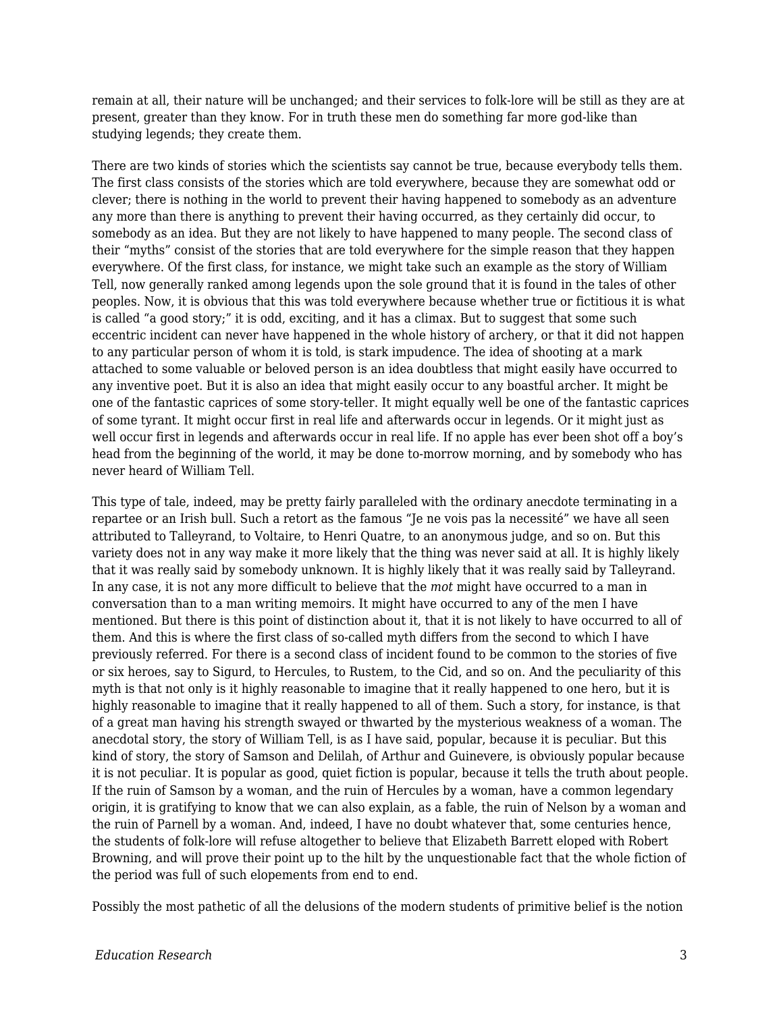remain at all, their nature will be unchanged; and their services to folk-lore will be still as they are at present, greater than they know. For in truth these men do something far more god-like than studying legends; they create them.

There are two kinds of stories which the scientists say cannot be true, because everybody tells them. The first class consists of the stories which are told everywhere, because they are somewhat odd or clever; there is nothing in the world to prevent their having happened to somebody as an adventure any more than there is anything to prevent their having occurred, as they certainly did occur, to somebody as an idea. But they are not likely to have happened to many people. The second class of their "myths" consist of the stories that are told everywhere for the simple reason that they happen everywhere. Of the first class, for instance, we might take such an example as the story of William Tell, now generally ranked among legends upon the sole ground that it is found in the tales of other peoples. Now, it is obvious that this was told everywhere because whether true or fictitious it is what is called "a good story;" it is odd, exciting, and it has a climax. But to suggest that some such eccentric incident can never have happened in the whole history of archery, or that it did not happen to any particular person of whom it is told, is stark impudence. The idea of shooting at a mark attached to some valuable or beloved person is an idea doubtless that might easily have occurred to any inventive poet. But it is also an idea that might easily occur to any boastful archer. It might be one of the fantastic caprices of some story-teller. It might equally well be one of the fantastic caprices of some tyrant. It might occur first in real life and afterwards occur in legends. Or it might just as well occur first in legends and afterwards occur in real life. If no apple has ever been shot off a boy's head from the beginning of the world, it may be done to-morrow morning, and by somebody who has never heard of William Tell.

This type of tale, indeed, may be pretty fairly paralleled with the ordinary anecdote terminating in a repartee or an Irish bull. Such a retort as the famous "Je ne vois pas la necessité" we have all seen attributed to Talleyrand, to Voltaire, to Henri Quatre, to an anonymous judge, and so on. But this variety does not in any way make it more likely that the thing was never said at all. It is highly likely that it was really said by somebody unknown. It is highly likely that it was really said by Talleyrand. In any case, it is not any more difficult to believe that the *mot* might have occurred to a man in conversation than to a man writing memoirs. It might have occurred to any of the men I have mentioned. But there is this point of distinction about it, that it is not likely to have occurred to all of them. And this is where the first class of so-called myth differs from the second to which I have previously referred. For there is a second class of incident found to be common to the stories of five or six heroes, say to Sigurd, to Hercules, to Rustem, to the Cid, and so on. And the peculiarity of this myth is that not only is it highly reasonable to imagine that it really happened to one hero, but it is highly reasonable to imagine that it really happened to all of them. Such a story, for instance, is that of a great man having his strength swayed or thwarted by the mysterious weakness of a woman. The anecdotal story, the story of William Tell, is as I have said, popular, because it is peculiar. But this kind of story, the story of Samson and Delilah, of Arthur and Guinevere, is obviously popular because it is not peculiar. It is popular as good, quiet fiction is popular, because it tells the truth about people. If the ruin of Samson by a woman, and the ruin of Hercules by a woman, have a common legendary origin, it is gratifying to know that we can also explain, as a fable, the ruin of Nelson by a woman and the ruin of Parnell by a woman. And, indeed, I have no doubt whatever that, some centuries hence, the students of folk-lore will refuse altogether to believe that Elizabeth Barrett eloped with Robert Browning, and will prove their point up to the hilt by the unquestionable fact that the whole fiction of the period was full of such elopements from end to end.

Possibly the most pathetic of all the delusions of the modern students of primitive belief is the notion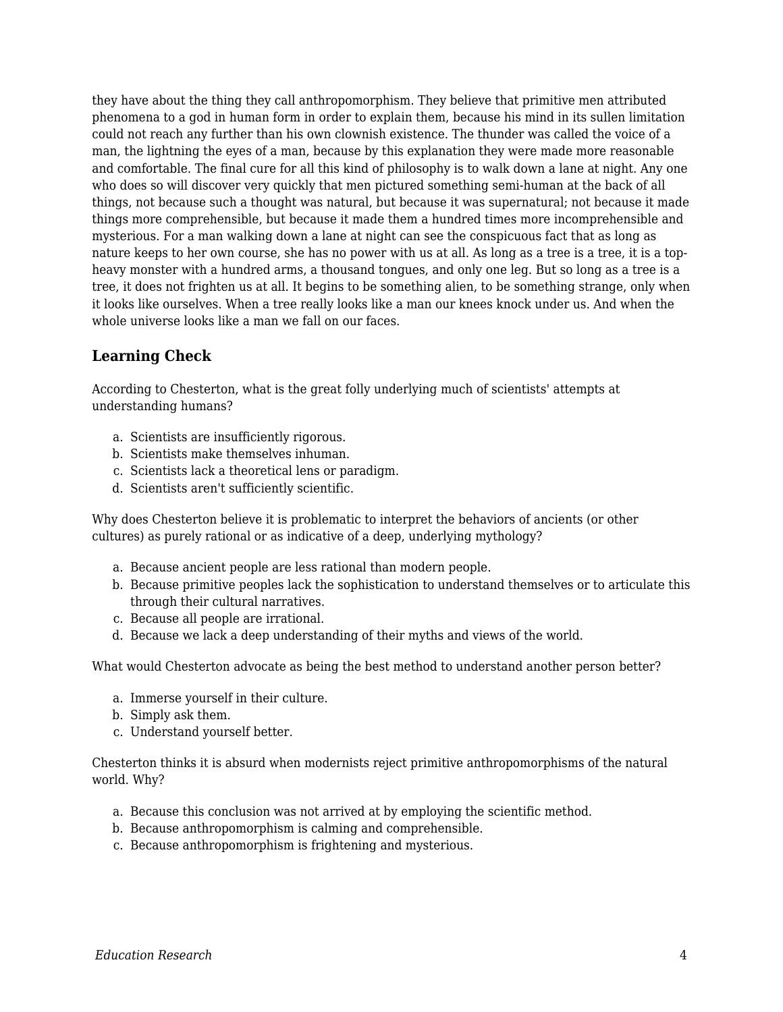they have about the thing they call anthropomorphism. They believe that primitive men attributed phenomena to a god in human form in order to explain them, because his mind in its sullen limitation could not reach any further than his own clownish existence. The thunder was called the voice of a man, the lightning the eyes of a man, because by this explanation they were made more reasonable and comfortable. The final cure for all this kind of philosophy is to walk down a lane at night. Any one who does so will discover very quickly that men pictured something semi-human at the back of all things, not because such a thought was natural, but because it was supernatural; not because it made things more comprehensible, but because it made them a hundred times more incomprehensible and mysterious. For a man walking down a lane at night can see the conspicuous fact that as long as nature keeps to her own course, she has no power with us at all. As long as a tree is a tree, it is a topheavy monster with a hundred arms, a thousand tongues, and only one leg. But so long as a tree is a tree, it does not frighten us at all. It begins to be something alien, to be something strange, only when it looks like ourselves. When a tree really looks like a man our knees knock under us. And when the whole universe looks like a man we fall on our faces.

## **Learning Check**

According to Chesterton, what is the great folly underlying much of scientists' attempts at understanding humans?

- a. Scientists are insufficiently rigorous.
- b. Scientists make themselves inhuman.
- c. Scientists lack a theoretical lens or paradigm.
- d. Scientists aren't sufficiently scientific.

Why does Chesterton believe it is problematic to interpret the behaviors of ancients (or other cultures) as purely rational or as indicative of a deep, underlying mythology?

- a. Because ancient people are less rational than modern people.
- b. Because primitive peoples lack the sophistication to understand themselves or to articulate this through their cultural narratives.
- c. Because all people are irrational.
- d. Because we lack a deep understanding of their myths and views of the world.

What would Chesterton advocate as being the best method to understand another person better?

- a. Immerse yourself in their culture.
- b. Simply ask them.
- c. Understand yourself better.

Chesterton thinks it is absurd when modernists reject primitive anthropomorphisms of the natural world. Why?

- a. Because this conclusion was not arrived at by employing the scientific method.
- b. Because anthropomorphism is calming and comprehensible.
- c. Because anthropomorphism is frightening and mysterious.